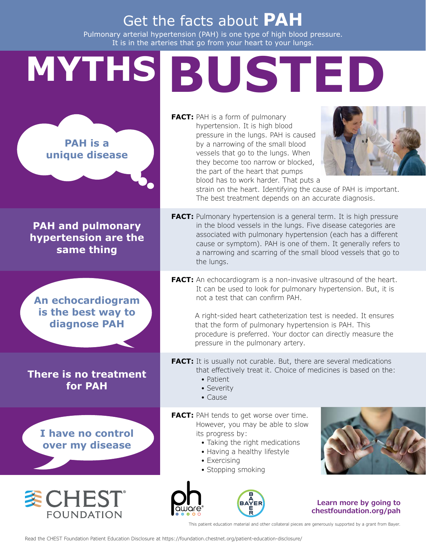## Get the facts about **PAH**

Pulmonary arterial hypertension (PAH) is one type of high blood pressure. It is in the arteries that go from your heart to your lungs.

## **MYTHS BUSTED**

**PAH is a unique disease**

**PAH and pulmonary hypertension are the same thing**

**An echocardiogram is the best way to diagnose PAH**

**There is no treatment for PAH**

> **I have no control over my disease**

**委CHEST®** 

**FOUNDATION** 

**FACT:** PAH is a form of pulmonary hypertension. It is high blood pressure in the lungs. PAH is caused by a narrowing of the small blood vessels that go to the lungs. When they become too narrow or blocked, the part of the heart that pumps blood has to work harder. That puts a



strain on the heart. Identifying the cause of PAH is important. The best treatment depends on an accurate diagnosis.

**FACT:** Pulmonary hypertension is a general term. It is high pressure in the blood vessels in the lungs. Five disease categories are associated with pulmonary hypertension (each has a different cause or symptom). PAH is one of them. It generally refers to a narrowing and scarring of the small blood vessels that go to the lungs.

**FACT:** An echocardiogram is a non-invasive ultrasound of the heart. It can be used to look for pulmonary hypertension. But, it is not a test that can confirm PAH.

> A right-sided heart catheterization test is needed. It ensures that the form of pulmonary hypertension is PAH. This procedure is preferred. Your doctor can directly measure the pressure in the pulmonary artery.

**FACT:** It is usually not curable. But, there are several medications that effectively treat it. Choice of medicines is based on the:

- Patient
- Severity
- Cause

**FACT:** PAH tends to get worse over time. However, you may be able to slow its progress by:

- Taking the right medications
- Having a healthy lifestyle
- Exercising
- Stopping smoking





## **Learn more by going to <chestfoundation.org/pah>**

This patient education material and other collateral pieces are generously supported by a grant from Bayer.